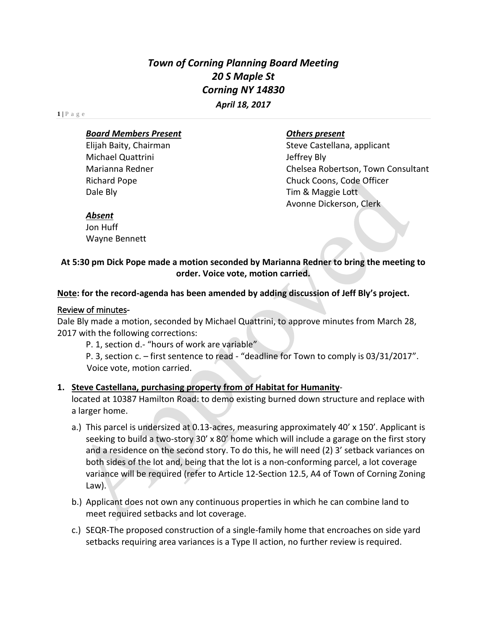*Town of Corning Planning Board Meeting 20 S Maple St Corning NY 14830 April 18, 2017*

#### **1 |** P a g e

### *Board Members Present Others present*

Michael Quattrini Jeffrey Bly Dale Bly **Dale Bly Dale Bly COVER 19 TIM & Maggie Lott** 

Elijah Baity, Chairman Steve Castellana, applicant Marianna Redner Chelsea Robertson, Town Consultant Richard Pope Chuck Coons, Code Officer Avonne Dickerson, Clerk

#### *Absent*

Jon Huff Wayne Bennett

## **At 5:30 pm Dick Pope made a motion seconded by Marianna Redner to bring the meeting to order. Voice vote, motion carried.**

## **Note: for the record-agenda has been amended by adding discussion of Jeff Bly's project.**

### Review of minutes-

Dale Bly made a motion, seconded by Michael Quattrini, to approve minutes from March 28, 2017 with the following corrections:

## P. 1, section d.- "hours of work are variable"

P. 3, section c. – first sentence to read - "deadline for Town to comply is 03/31/2017". Voice vote, motion carried.

#### **1. Steve Castellana, purchasing property from of Habitat for Humanity**-

located at 10387 Hamilton Road: to demo existing burned down structure and replace with a larger home.

- a.) This parcel is undersized at 0.13-acres, measuring approximately 40' x 150'. Applicant is seeking to build a two-story 30' x 80' home which will include a garage on the first story and a residence on the second story. To do this, he will need (2) 3' setback variances on both sides of the lot and, being that the lot is a non-conforming parcel, a lot coverage variance will be required (refer to Article 12-Section 12.5, A4 of Town of Corning Zoning Law).
- b.) Applicant does not own any continuous properties in which he can combine land to meet required setbacks and lot coverage.
- c.) SEQR-The proposed construction of a single-family home that encroaches on side yard setbacks requiring area variances is a Type II action, no further review is required.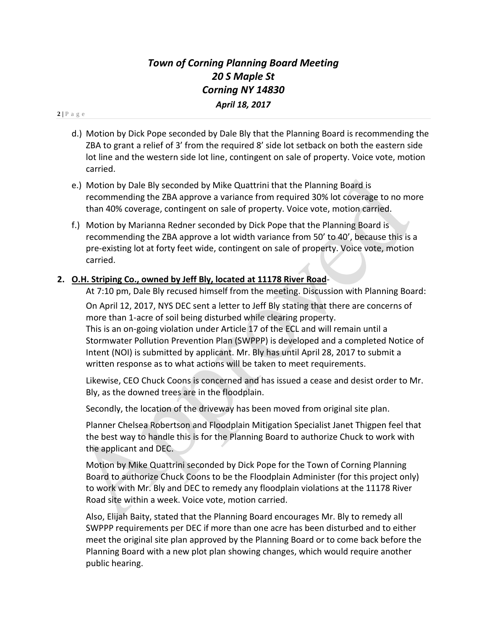# *Town of Corning Planning Board Meeting 20 S Maple St Corning NY 14830 April 18, 2017*

#### $2 | P a g e$

- d.) Motion by Dick Pope seconded by Dale Bly that the Planning Board is recommending the ZBA to grant a relief of 3' from the required 8' side lot setback on both the eastern side lot line and the western side lot line, contingent on sale of property. Voice vote, motion carried.
- e.) Motion by Dale Bly seconded by Mike Quattrini that the Planning Board is recommending the ZBA approve a variance from required 30% lot coverage to no more than 40% coverage, contingent on sale of property. Voice vote, motion carried.
- f.) Motion by Marianna Redner seconded by Dick Pope that the Planning Board is recommending the ZBA approve a lot width variance from 50' to 40', because this is a pre-existing lot at forty feet wide, contingent on sale of property. Voice vote, motion carried.

# **2. O.H. Striping Co., owned by Jeff Bly, located at 11178 River Road**-

At 7:10 pm, Dale Bly recused himself from the meeting. Discussion with Planning Board:

On April 12, 2017, NYS DEC sent a letter to Jeff Bly stating that there are concerns of more than 1-acre of soil being disturbed while clearing property.

This is an on-going violation under Article 17 of the ECL and will remain until a Stormwater Pollution Prevention Plan (SWPPP) is developed and a completed Notice of Intent (NOI) is submitted by applicant. Mr. Bly has until April 28, 2017 to submit a written response as to what actions will be taken to meet requirements.

Likewise, CEO Chuck Coons is concerned and has issued a cease and desist order to Mr. Bly, as the downed trees are in the floodplain.

Secondly, the location of the driveway has been moved from original site plan.

Planner Chelsea Robertson and Floodplain Mitigation Specialist Janet Thigpen feel that the best way to handle this is for the Planning Board to authorize Chuck to work with the applicant and DEC.

Motion by Mike Quattrini seconded by Dick Pope for the Town of Corning Planning Board to authorize Chuck Coons to be the Floodplain Administer (for this project only) to work with Mr. Bly and DEC to remedy any floodplain violations at the 11178 River Road site within a week. Voice vote, motion carried.

Also, Elijah Baity, stated that the Planning Board encourages Mr. Bly to remedy all SWPPP requirements per DEC if more than one acre has been disturbed and to either meet the original site plan approved by the Planning Board or to come back before the Planning Board with a new plot plan showing changes, which would require another public hearing.